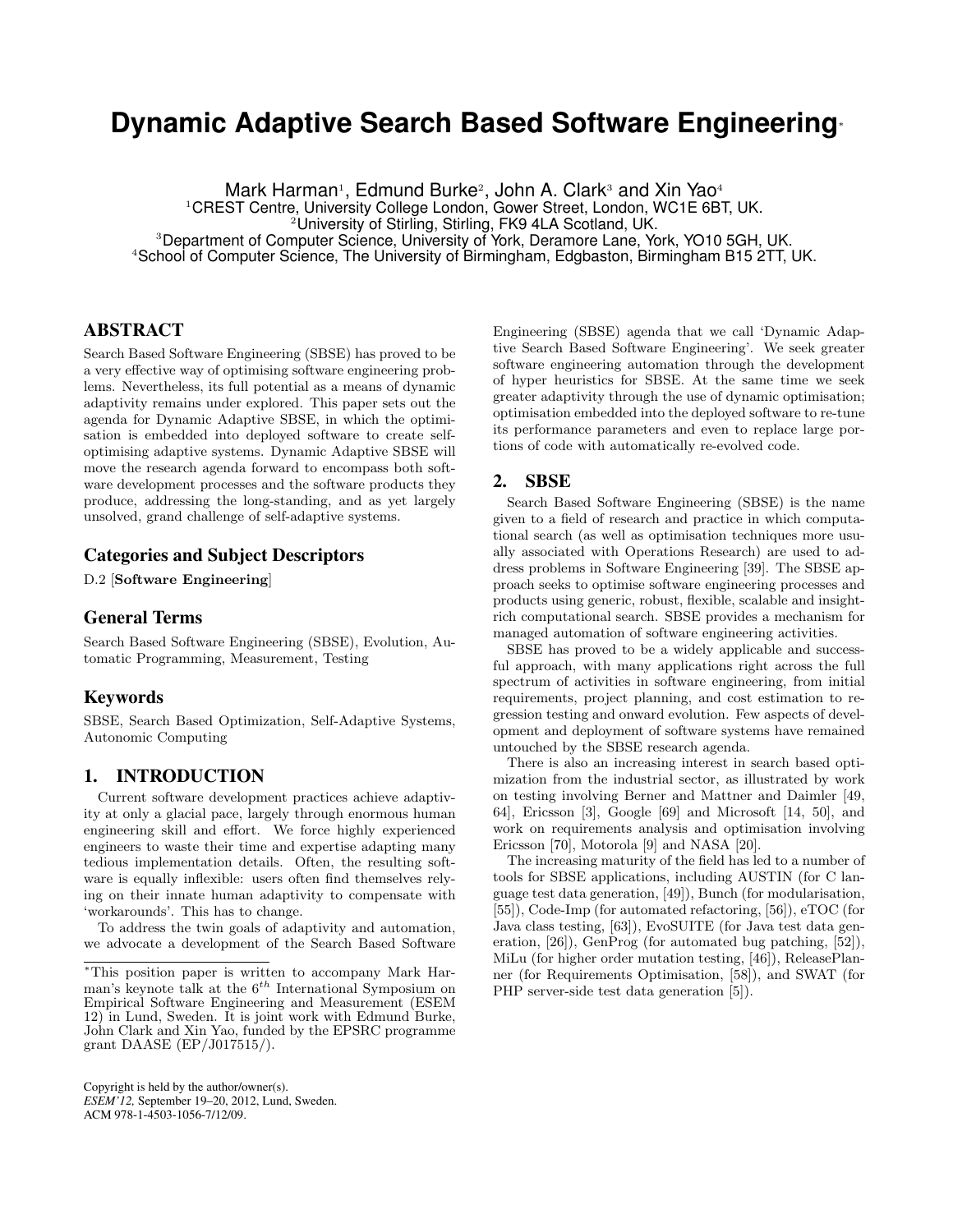# **Dynamic Adaptive Search Based Software Engineering**<sup>∗</sup>

Mark Harman<sup>1</sup>, Edmund Burke<sup>2</sup>, John A. Clark<sup>3</sup> and Xin Yao<sup>4</sup>

<sup>1</sup>CREST Centre, University College London, Gower Street, London, WC1E 6BT, UK.

 $2$ University of Stirling, Stirling, FK9 4LA Scotland, UK.

<sup>3</sup>Department of Computer Science, University of York, Deramore Lane, York, YO10 5GH, UK.

<sup>4</sup>School of Computer Science, The University of Birmingham, Edgbaston, Birmingham B15 2TT, UK.

# ABSTRACT

Search Based Software Engineering (SBSE) has proved to be a very effective way of optimising software engineering problems. Nevertheless, its full potential as a means of dynamic adaptivity remains under explored. This paper sets out the agenda for Dynamic Adaptive SBSE, in which the optimisation is embedded into deployed software to create selfoptimising adaptive systems. Dynamic Adaptive SBSE will move the research agenda forward to encompass both software development processes and the software products they produce, addressing the long-standing, and as yet largely unsolved, grand challenge of self-adaptive systems.

# Categories and Subject Descriptors

D.2 [Software Engineering]

#### General Terms

Search Based Software Engineering (SBSE), Evolution, Automatic Programming, Measurement, Testing

# Keywords

SBSE, Search Based Optimization, Self-Adaptive Systems, Autonomic Computing

#### 1. INTRODUCTION

Current software development practices achieve adaptivity at only a glacial pace, largely through enormous human engineering skill and effort. We force highly experienced engineers to waste their time and expertise adapting many tedious implementation details. Often, the resulting software is equally inflexible: users often find themselves relying on their innate human adaptivity to compensate with 'workarounds'. This has to change.

To address the twin goals of adaptivity and automation, we advocate a development of the Search Based Software

Copyright is held by the author/owner(s). *ESEM'12,* September 19–20, 2012, Lund, Sweden. ACM 978-1-4503-1056-7/12/09.

Engineering (SBSE) agenda that we call 'Dynamic Adaptive Search Based Software Engineering'. We seek greater software engineering automation through the development of hyper heuristics for SBSE. At the same time we seek greater adaptivity through the use of dynamic optimisation; optimisation embedded into the deployed software to re-tune its performance parameters and even to replace large portions of code with automatically re-evolved code.

# 2. SBSE

Search Based Software Engineering (SBSE) is the name given to a field of research and practice in which computational search (as well as optimisation techniques more usually associated with Operations Research) are used to address problems in Software Engineering [39]. The SBSE approach seeks to optimise software engineering processes and products using generic, robust, flexible, scalable and insightrich computational search. SBSE provides a mechanism for managed automation of software engineering activities.

SBSE has proved to be a widely applicable and successful approach, with many applications right across the full spectrum of activities in software engineering, from initial requirements, project planning, and cost estimation to regression testing and onward evolution. Few aspects of development and deployment of software systems have remained untouched by the SBSE research agenda.

There is also an increasing interest in search based optimization from the industrial sector, as illustrated by work on testing involving Berner and Mattner and Daimler [49, 64], Ericsson [3], Google [69] and Microsoft [14, 50], and work on requirements analysis and optimisation involving Ericsson [70], Motorola [9] and NASA [20].

The increasing maturity of the field has led to a number of tools for SBSE applications, including AUSTIN (for C language test data generation, [49]), Bunch (for modularisation, [55]), Code-Imp (for automated refactoring, [56]), eTOC (for Java class testing, [63]), EvoSUITE (for Java test data generation, [26]), GenProg (for automated bug patching, [52]), MiLu (for higher order mutation testing, [46]), ReleasePlanner (for Requirements Optimisation, [58]), and SWAT (for PHP server-side test data generation [5]).

<sup>∗</sup>This position paper is written to accompany Mark Harman's keynote talk at the  $6^{th}$  International Symposium on Empirical Software Engineering and Measurement (ESEM 12) in Lund, Sweden. It is joint work with Edmund Burke, John Clark and Xin Yao, funded by the EPSRC programme grant DAASE (EP/J017515/).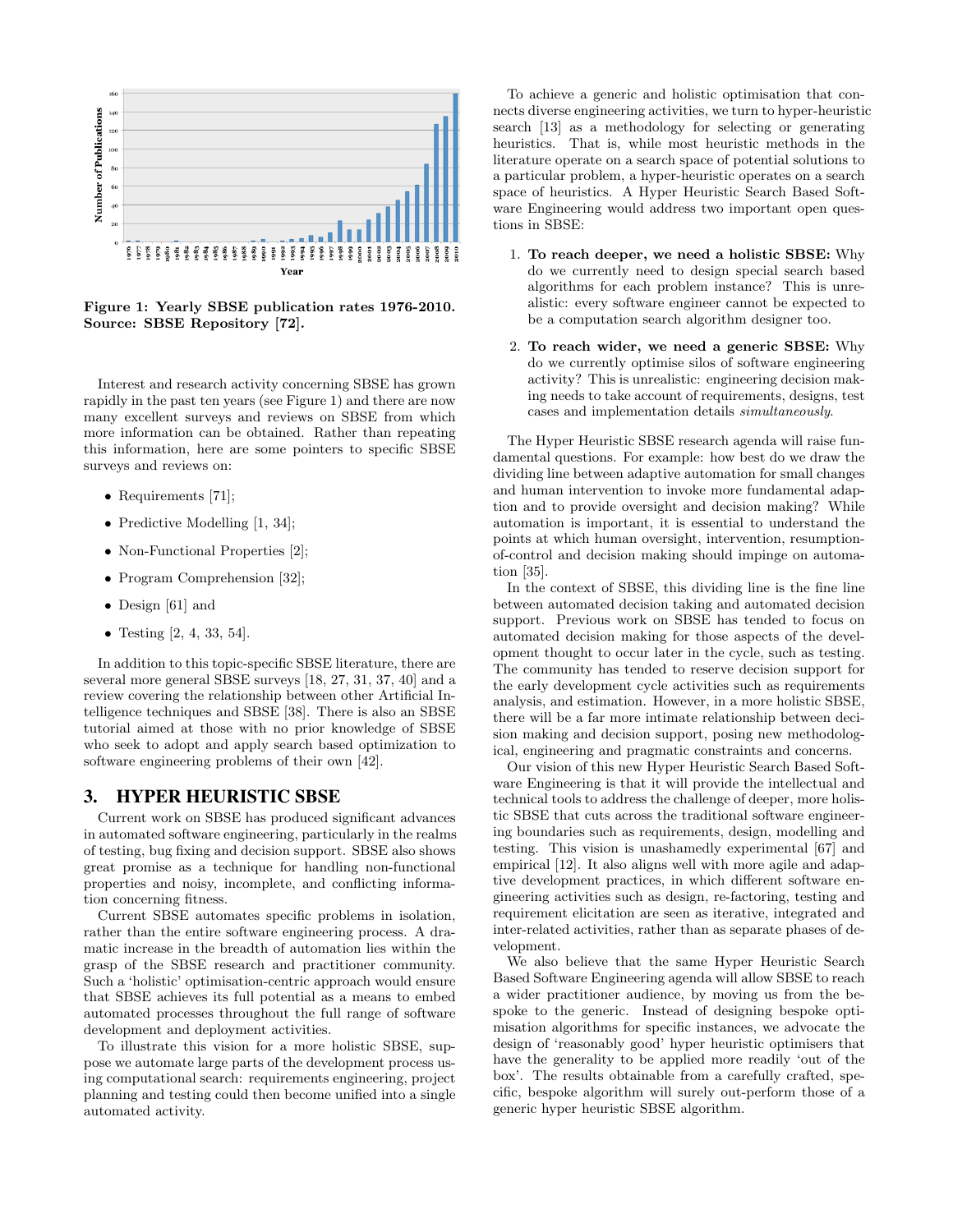

Figure 1: Yearly SBSE publication rates 1976-2010. Source: SBSE Repository [72].

Interest and research activity concerning SBSE has grown rapidly in the past ten years (see Figure 1) and there are now many excellent surveys and reviews on SBSE from which more information can be obtained. Rather than repeating this information, here are some pointers to specific SBSE surveys and reviews on:

- Requirements [71];
- Predictive Modelling [1, 34];
- Non-Functional Properties [2];
- Program Comprehension [32];
- Design [61] and
- Testing  $[2, 4, 33, 54]$ .

In addition to this topic-specific SBSE literature, there are several more general SBSE surveys [18, 27, 31, 37, 40] and a review covering the relationship between other Artificial Intelligence techniques and SBSE [38]. There is also an SBSE tutorial aimed at those with no prior knowledge of SBSE who seek to adopt and apply search based optimization to software engineering problems of their own [42].

# 3. HYPER HEURISTIC SBSE

Current work on SBSE has produced significant advances in automated software engineering, particularly in the realms of testing, bug fixing and decision support. SBSE also shows great promise as a technique for handling non-functional properties and noisy, incomplete, and conflicting information concerning fitness.

Current SBSE automates specific problems in isolation, rather than the entire software engineering process. A dramatic increase in the breadth of automation lies within the grasp of the SBSE research and practitioner community. Such a 'holistic' optimisation-centric approach would ensure that SBSE achieves its full potential as a means to embed automated processes throughout the full range of software development and deployment activities.

To illustrate this vision for a more holistic SBSE, suppose we automate large parts of the development process using computational search: requirements engineering, project planning and testing could then become unified into a single automated activity.

To achieve a generic and holistic optimisation that connects diverse engineering activities, we turn to hyper-heuristic search [13] as a methodology for selecting or generating heuristics. That is, while most heuristic methods in the literature operate on a search space of potential solutions to a particular problem, a hyper-heuristic operates on a search space of heuristics. A Hyper Heuristic Search Based Software Engineering would address two important open questions in SBSE:

- 1. To reach deeper, we need a holistic SBSE: Why do we currently need to design special search based algorithms for each problem instance? This is unrealistic: every software engineer cannot be expected to be a computation search algorithm designer too.
- 2. To reach wider, we need a generic SBSE: Why do we currently optimise silos of software engineering activity? This is unrealistic: engineering decision making needs to take account of requirements, designs, test cases and implementation details simultaneously.

The Hyper Heuristic SBSE research agenda will raise fundamental questions. For example: how best do we draw the dividing line between adaptive automation for small changes and human intervention to invoke more fundamental adaption and to provide oversight and decision making? While automation is important, it is essential to understand the points at which human oversight, intervention, resumptionof-control and decision making should impinge on automation [35].

In the context of SBSE, this dividing line is the fine line between automated decision taking and automated decision support. Previous work on SBSE has tended to focus on automated decision making for those aspects of the development thought to occur later in the cycle, such as testing. The community has tended to reserve decision support for the early development cycle activities such as requirements analysis, and estimation. However, in a more holistic SBSE, there will be a far more intimate relationship between decision making and decision support, posing new methodological, engineering and pragmatic constraints and concerns.

Our vision of this new Hyper Heuristic Search Based Software Engineering is that it will provide the intellectual and technical tools to address the challenge of deeper, more holistic SBSE that cuts across the traditional software engineering boundaries such as requirements, design, modelling and testing. This vision is unashamedly experimental [67] and empirical [12]. It also aligns well with more agile and adaptive development practices, in which different software engineering activities such as design, re-factoring, testing and requirement elicitation are seen as iterative, integrated and inter-related activities, rather than as separate phases of development.

We also believe that the same Hyper Heuristic Search Based Software Engineering agenda will allow SBSE to reach a wider practitioner audience, by moving us from the bespoke to the generic. Instead of designing bespoke optimisation algorithms for specific instances, we advocate the design of 'reasonably good' hyper heuristic optimisers that have the generality to be applied more readily 'out of the box'. The results obtainable from a carefully crafted, specific, bespoke algorithm will surely out-perform those of a generic hyper heuristic SBSE algorithm.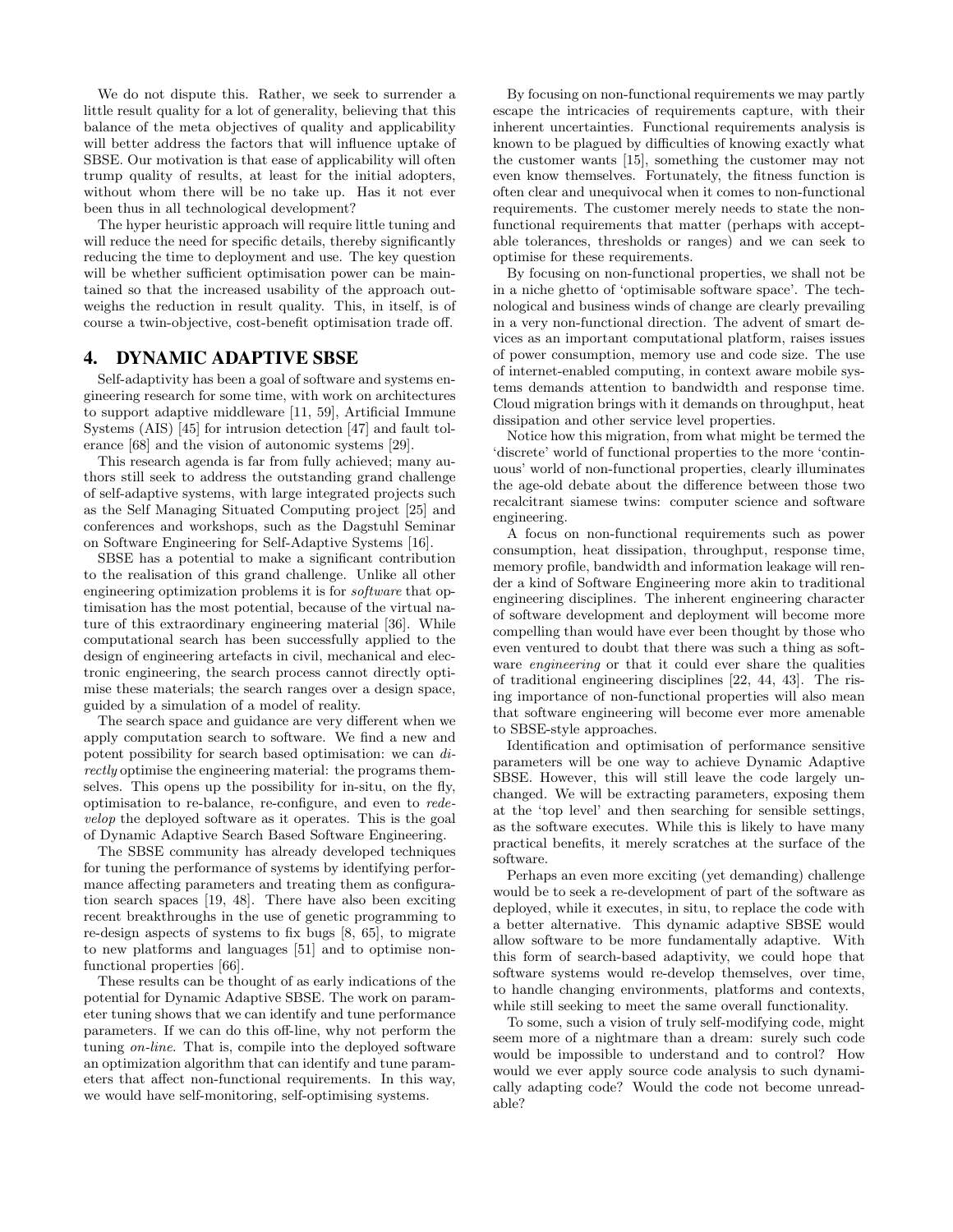We do not dispute this. Rather, we seek to surrender a little result quality for a lot of generality, believing that this balance of the meta objectives of quality and applicability will better address the factors that will influence uptake of SBSE. Our motivation is that ease of applicability will often trump quality of results, at least for the initial adopters, without whom there will be no take up. Has it not ever been thus in all technological development?

The hyper heuristic approach will require little tuning and will reduce the need for specific details, thereby significantly reducing the time to deployment and use. The key question will be whether sufficient optimisation power can be maintained so that the increased usability of the approach outweighs the reduction in result quality. This, in itself, is of course a twin-objective, cost-benefit optimisation trade off.

# 4. DYNAMIC ADAPTIVE SBSE

Self-adaptivity has been a goal of software and systems engineering research for some time, with work on architectures to support adaptive middleware [11, 59], Artificial Immune Systems (AIS) [45] for intrusion detection [47] and fault tolerance [68] and the vision of autonomic systems [29].

This research agenda is far from fully achieved; many authors still seek to address the outstanding grand challenge of self-adaptive systems, with large integrated projects such as the Self Managing Situated Computing project [25] and conferences and workshops, such as the Dagstuhl Seminar on Software Engineering for Self-Adaptive Systems [16].

SBSE has a potential to make a significant contribution to the realisation of this grand challenge. Unlike all other engineering optimization problems it is for software that optimisation has the most potential, because of the virtual nature of this extraordinary engineering material [36]. While computational search has been successfully applied to the design of engineering artefacts in civil, mechanical and electronic engineering, the search process cannot directly optimise these materials; the search ranges over a design space, guided by a simulation of a model of reality.

The search space and guidance are very different when we apply computation search to software. We find a new and potent possibility for search based optimisation: we can directly optimise the engineering material: the programs themselves. This opens up the possibility for in-situ, on the fly, optimisation to re-balance, re-configure, and even to redevelop the deployed software as it operates. This is the goal of Dynamic Adaptive Search Based Software Engineering.

The SBSE community has already developed techniques for tuning the performance of systems by identifying performance affecting parameters and treating them as configuration search spaces [19, 48]. There have also been exciting recent breakthroughs in the use of genetic programming to re-design aspects of systems to fix bugs [8, 65], to migrate to new platforms and languages [51] and to optimise nonfunctional properties [66].

These results can be thought of as early indications of the potential for Dynamic Adaptive SBSE. The work on parameter tuning shows that we can identify and tune performance parameters. If we can do this off-line, why not perform the tuning on-line. That is, compile into the deployed software an optimization algorithm that can identify and tune parameters that affect non-functional requirements. In this way, we would have self-monitoring, self-optimising systems.

By focusing on non-functional requirements we may partly escape the intricacies of requirements capture, with their inherent uncertainties. Functional requirements analysis is known to be plagued by difficulties of knowing exactly what the customer wants [15], something the customer may not even know themselves. Fortunately, the fitness function is often clear and unequivocal when it comes to non-functional requirements. The customer merely needs to state the nonfunctional requirements that matter (perhaps with acceptable tolerances, thresholds or ranges) and we can seek to optimise for these requirements.

By focusing on non-functional properties, we shall not be in a niche ghetto of 'optimisable software space'. The technological and business winds of change are clearly prevailing in a very non-functional direction. The advent of smart devices as an important computational platform, raises issues of power consumption, memory use and code size. The use of internet-enabled computing, in context aware mobile systems demands attention to bandwidth and response time. Cloud migration brings with it demands on throughput, heat dissipation and other service level properties.

Notice how this migration, from what might be termed the 'discrete' world of functional properties to the more 'continuous' world of non-functional properties, clearly illuminates the age-old debate about the difference between those two recalcitrant siamese twins: computer science and software engineering.

A focus on non-functional requirements such as power consumption, heat dissipation, throughput, response time, memory profile, bandwidth and information leakage will render a kind of Software Engineering more akin to traditional engineering disciplines. The inherent engineering character of software development and deployment will become more compelling than would have ever been thought by those who even ventured to doubt that there was such a thing as software engineering or that it could ever share the qualities of traditional engineering disciplines [22, 44, 43]. The rising importance of non-functional properties will also mean that software engineering will become ever more amenable to SBSE-style approaches.

Identification and optimisation of performance sensitive parameters will be one way to achieve Dynamic Adaptive SBSE. However, this will still leave the code largely unchanged. We will be extracting parameters, exposing them at the 'top level' and then searching for sensible settings, as the software executes. While this is likely to have many practical benefits, it merely scratches at the surface of the software.

Perhaps an even more exciting (yet demanding) challenge would be to seek a re-development of part of the software as deployed, while it executes, in situ, to replace the code with a better alternative. This dynamic adaptive SBSE would allow software to be more fundamentally adaptive. With this form of search-based adaptivity, we could hope that software systems would re-develop themselves, over time, to handle changing environments, platforms and contexts, while still seeking to meet the same overall functionality.

To some, such a vision of truly self-modifying code, might seem more of a nightmare than a dream: surely such code would be impossible to understand and to control? How would we ever apply source code analysis to such dynamically adapting code? Would the code not become unreadable?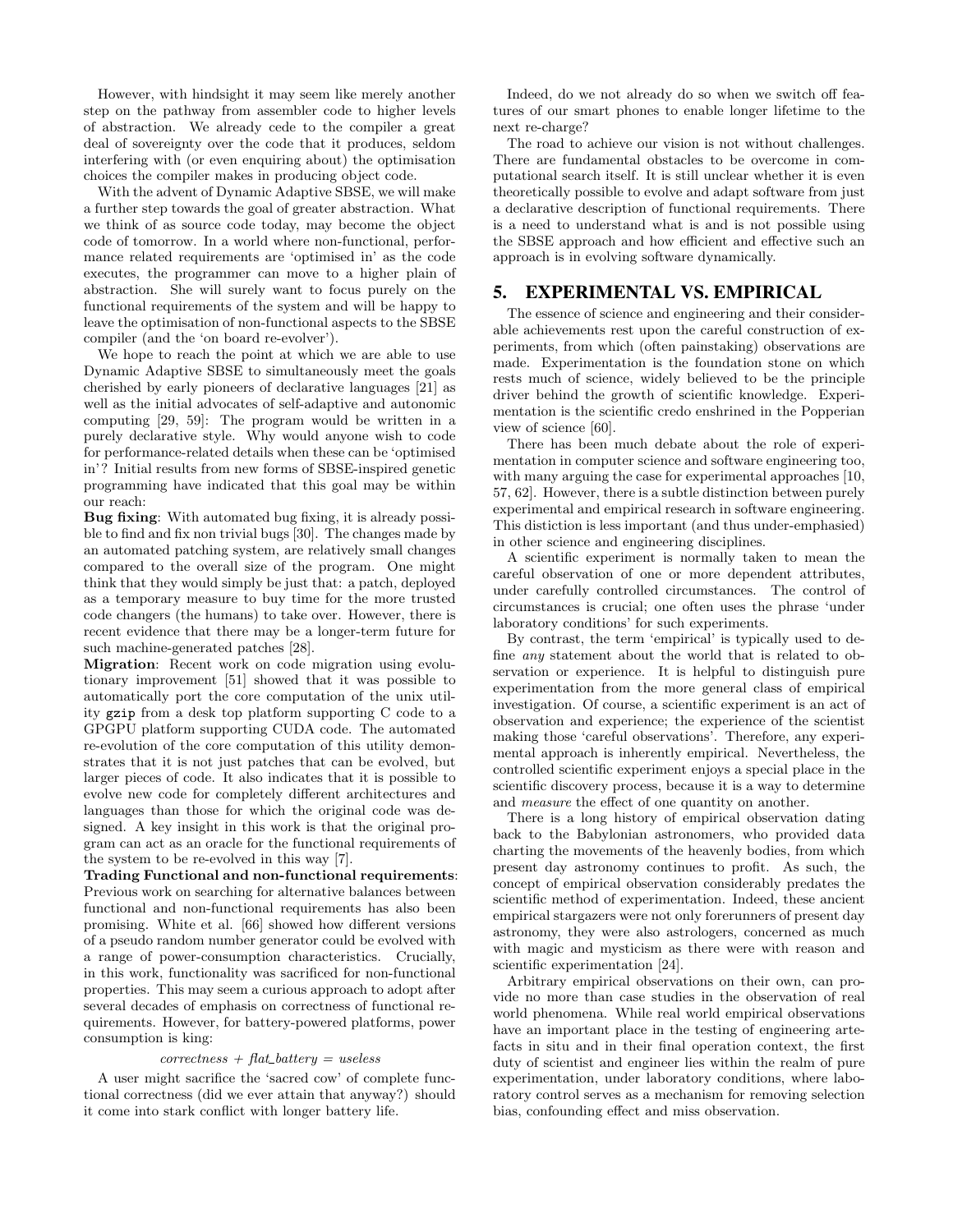However, with hindsight it may seem like merely another step on the pathway from assembler code to higher levels of abstraction. We already cede to the compiler a great deal of sovereignty over the code that it produces, seldom interfering with (or even enquiring about) the optimisation choices the compiler makes in producing object code.

With the advent of Dynamic Adaptive SBSE, we will make a further step towards the goal of greater abstraction. What we think of as source code today, may become the object code of tomorrow. In a world where non-functional, performance related requirements are 'optimised in' as the code executes, the programmer can move to a higher plain of abstraction. She will surely want to focus purely on the functional requirements of the system and will be happy to leave the optimisation of non-functional aspects to the SBSE compiler (and the 'on board re-evolver').

We hope to reach the point at which we are able to use Dynamic Adaptive SBSE to simultaneously meet the goals cherished by early pioneers of declarative languages [21] as well as the initial advocates of self-adaptive and autonomic computing [29, 59]: The program would be written in a purely declarative style. Why would anyone wish to code for performance-related details when these can be 'optimised in'? Initial results from new forms of SBSE-inspired genetic programming have indicated that this goal may be within our reach:

Bug fixing: With automated bug fixing, it is already possible to find and fix non trivial bugs [30]. The changes made by an automated patching system, are relatively small changes compared to the overall size of the program. One might think that they would simply be just that: a patch, deployed as a temporary measure to buy time for the more trusted code changers (the humans) to take over. However, there is recent evidence that there may be a longer-term future for such machine-generated patches [28].

Migration: Recent work on code migration using evolutionary improvement [51] showed that it was possible to automatically port the core computation of the unix utility gzip from a desk top platform supporting C code to a GPGPU platform supporting CUDA code. The automated re-evolution of the core computation of this utility demonstrates that it is not just patches that can be evolved, but larger pieces of code. It also indicates that it is possible to evolve new code for completely different architectures and languages than those for which the original code was designed. A key insight in this work is that the original program can act as an oracle for the functional requirements of the system to be re-evolved in this way [7].

Trading Functional and non-functional requirements: Previous work on searching for alternative balances between functional and non-functional requirements has also been promising. White et al. [66] showed how different versions of a pseudo random number generator could be evolved with a range of power-consumption characteristics. Crucially, in this work, functionality was sacrificed for non-functional properties. This may seem a curious approach to adopt after several decades of emphasis on correctness of functional requirements. However, for battery-powered platforms, power consumption is king:

#### $correctness + flat_battery = useless$

A user might sacrifice the 'sacred cow' of complete functional correctness (did we ever attain that anyway?) should it come into stark conflict with longer battery life.

Indeed, do we not already do so when we switch off features of our smart phones to enable longer lifetime to the next re-charge?

The road to achieve our vision is not without challenges. There are fundamental obstacles to be overcome in computational search itself. It is still unclear whether it is even theoretically possible to evolve and adapt software from just a declarative description of functional requirements. There is a need to understand what is and is not possible using the SBSE approach and how efficient and effective such an approach is in evolving software dynamically.

# 5. EXPERIMENTAL VS. EMPIRICAL

The essence of science and engineering and their considerable achievements rest upon the careful construction of experiments, from which (often painstaking) observations are made. Experimentation is the foundation stone on which rests much of science, widely believed to be the principle driver behind the growth of scientific knowledge. Experimentation is the scientific credo enshrined in the Popperian view of science [60].

There has been much debate about the role of experimentation in computer science and software engineering too, with many arguing the case for experimental approaches [10, 57, 62]. However, there is a subtle distinction between purely experimental and empirical research in software engineering. This distiction is less important (and thus under-emphasied) in other science and engineering disciplines.

A scientific experiment is normally taken to mean the careful observation of one or more dependent attributes, under carefully controlled circumstances. The control of circumstances is crucial; one often uses the phrase 'under laboratory conditions' for such experiments.

By contrast, the term 'empirical' is typically used to define any statement about the world that is related to observation or experience. It is helpful to distinguish pure experimentation from the more general class of empirical investigation. Of course, a scientific experiment is an act of observation and experience; the experience of the scientist making those 'careful observations'. Therefore, any experimental approach is inherently empirical. Nevertheless, the controlled scientific experiment enjoys a special place in the scientific discovery process, because it is a way to determine and measure the effect of one quantity on another.

There is a long history of empirical observation dating back to the Babylonian astronomers, who provided data charting the movements of the heavenly bodies, from which present day astronomy continues to profit. As such, the concept of empirical observation considerably predates the scientific method of experimentation. Indeed, these ancient empirical stargazers were not only forerunners of present day astronomy, they were also astrologers, concerned as much with magic and mysticism as there were with reason and scientific experimentation [24].

Arbitrary empirical observations on their own, can provide no more than case studies in the observation of real world phenomena. While real world empirical observations have an important place in the testing of engineering artefacts in situ and in their final operation context, the first duty of scientist and engineer lies within the realm of pure experimentation, under laboratory conditions, where laboratory control serves as a mechanism for removing selection bias, confounding effect and miss observation.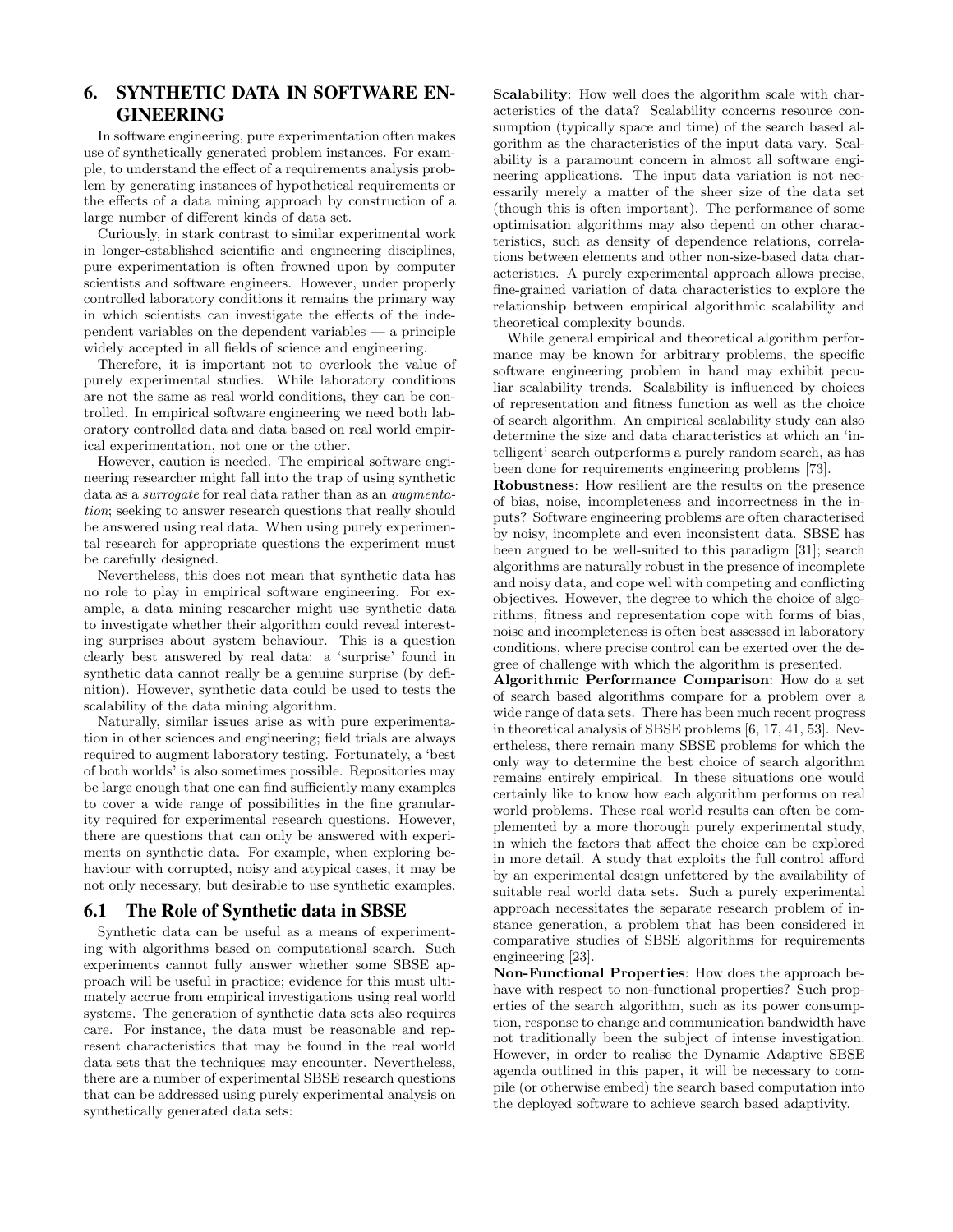# 6. SYNTHETIC DATA IN SOFTWARE EN-GINEERING

In software engineering, pure experimentation often makes use of synthetically generated problem instances. For example, to understand the effect of a requirements analysis problem by generating instances of hypothetical requirements or the effects of a data mining approach by construction of a large number of different kinds of data set.

Curiously, in stark contrast to similar experimental work in longer-established scientific and engineering disciplines, pure experimentation is often frowned upon by computer scientists and software engineers. However, under properly controlled laboratory conditions it remains the primary way in which scientists can investigate the effects of the independent variables on the dependent variables — a principle widely accepted in all fields of science and engineering.

Therefore, it is important not to overlook the value of purely experimental studies. While laboratory conditions are not the same as real world conditions, they can be controlled. In empirical software engineering we need both laboratory controlled data and data based on real world empirical experimentation, not one or the other.

However, caution is needed. The empirical software engineering researcher might fall into the trap of using synthetic data as a *surrogate* for real data rather than as an *augmenta*tion; seeking to answer research questions that really should be answered using real data. When using purely experimental research for appropriate questions the experiment must be carefully designed.

Nevertheless, this does not mean that synthetic data has no role to play in empirical software engineering. For example, a data mining researcher might use synthetic data to investigate whether their algorithm could reveal interesting surprises about system behaviour. This is a question clearly best answered by real data: a 'surprise' found in synthetic data cannot really be a genuine surprise (by definition). However, synthetic data could be used to tests the scalability of the data mining algorithm.

Naturally, similar issues arise as with pure experimentation in other sciences and engineering; field trials are always required to augment laboratory testing. Fortunately, a 'best of both worlds' is also sometimes possible. Repositories may be large enough that one can find sufficiently many examples to cover a wide range of possibilities in the fine granularity required for experimental research questions. However, there are questions that can only be answered with experiments on synthetic data. For example, when exploring behaviour with corrupted, noisy and atypical cases, it may be not only necessary, but desirable to use synthetic examples.

# 6.1 The Role of Synthetic data in SBSE

Synthetic data can be useful as a means of experimenting with algorithms based on computational search. Such experiments cannot fully answer whether some SBSE approach will be useful in practice; evidence for this must ultimately accrue from empirical investigations using real world systems. The generation of synthetic data sets also requires care. For instance, the data must be reasonable and represent characteristics that may be found in the real world data sets that the techniques may encounter. Nevertheless, there are a number of experimental SBSE research questions that can be addressed using purely experimental analysis on synthetically generated data sets:

Scalability: How well does the algorithm scale with characteristics of the data? Scalability concerns resource consumption (typically space and time) of the search based algorithm as the characteristics of the input data vary. Scalability is a paramount concern in almost all software engineering applications. The input data variation is not necessarily merely a matter of the sheer size of the data set (though this is often important). The performance of some optimisation algorithms may also depend on other characteristics, such as density of dependence relations, correlations between elements and other non-size-based data characteristics. A purely experimental approach allows precise, fine-grained variation of data characteristics to explore the relationship between empirical algorithmic scalability and theoretical complexity bounds.

While general empirical and theoretical algorithm performance may be known for arbitrary problems, the specific software engineering problem in hand may exhibit peculiar scalability trends. Scalability is influenced by choices of representation and fitness function as well as the choice of search algorithm. An empirical scalability study can also determine the size and data characteristics at which an 'intelligent' search outperforms a purely random search, as has been done for requirements engineering problems [73].

Robustness: How resilient are the results on the presence of bias, noise, incompleteness and incorrectness in the inputs? Software engineering problems are often characterised by noisy, incomplete and even inconsistent data. SBSE has been argued to be well-suited to this paradigm [31]; search algorithms are naturally robust in the presence of incomplete and noisy data, and cope well with competing and conflicting objectives. However, the degree to which the choice of algorithms, fitness and representation cope with forms of bias, noise and incompleteness is often best assessed in laboratory conditions, where precise control can be exerted over the degree of challenge with which the algorithm is presented.

Algorithmic Performance Comparison: How do a set of search based algorithms compare for a problem over a wide range of data sets. There has been much recent progress in theoretical analysis of SBSE problems [6, 17, 41, 53]. Nevertheless, there remain many SBSE problems for which the only way to determine the best choice of search algorithm remains entirely empirical. In these situations one would certainly like to know how each algorithm performs on real world problems. These real world results can often be complemented by a more thorough purely experimental study, in which the factors that affect the choice can be explored in more detail. A study that exploits the full control afford by an experimental design unfettered by the availability of suitable real world data sets. Such a purely experimental approach necessitates the separate research problem of instance generation, a problem that has been considered in comparative studies of SBSE algorithms for requirements engineering [23].

Non-Functional Properties: How does the approach behave with respect to non-functional properties? Such properties of the search algorithm, such as its power consumption, response to change and communication bandwidth have not traditionally been the subject of intense investigation. However, in order to realise the Dynamic Adaptive SBSE agenda outlined in this paper, it will be necessary to compile (or otherwise embed) the search based computation into the deployed software to achieve search based adaptivity.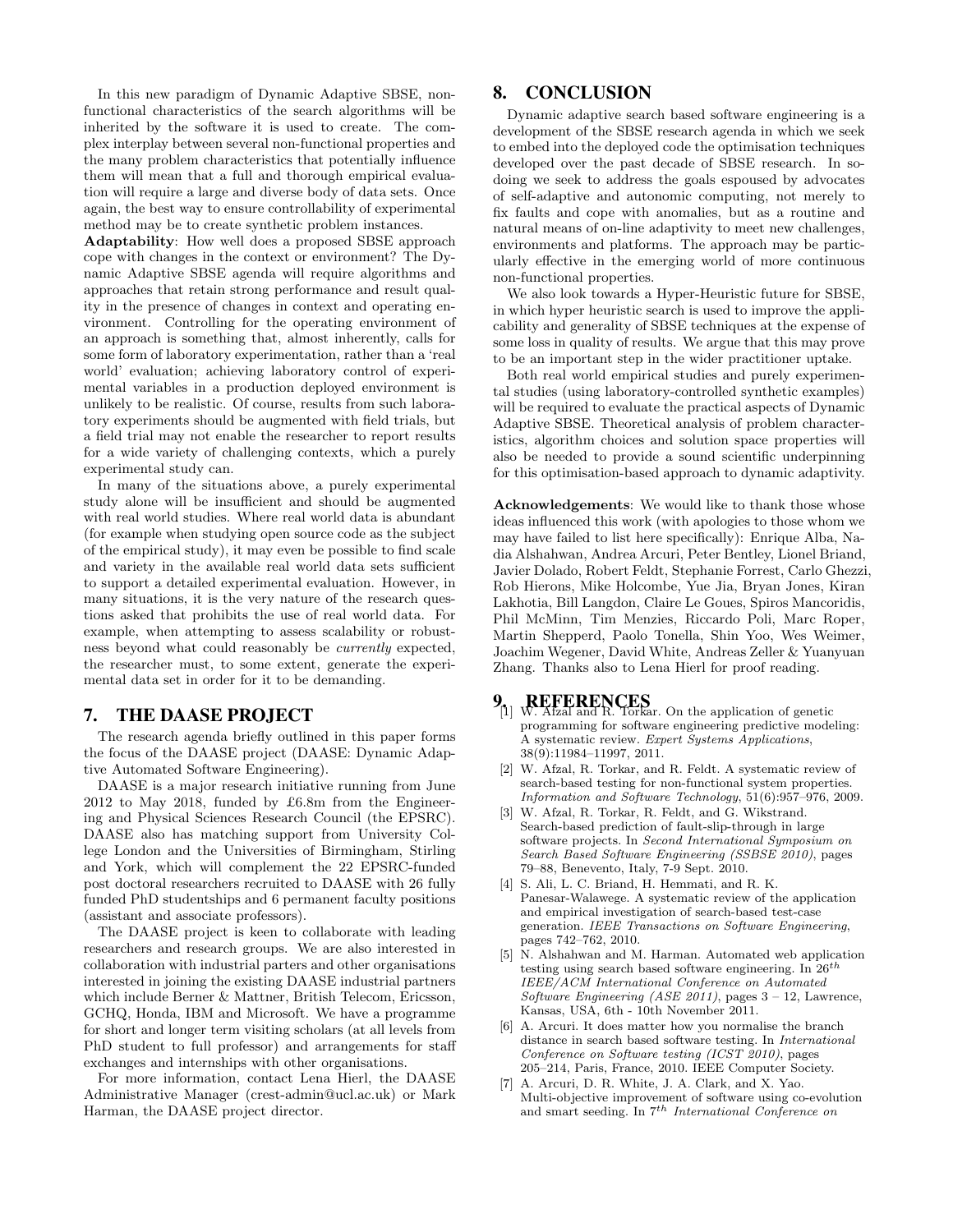In this new paradigm of Dynamic Adaptive SBSE, nonfunctional characteristics of the search algorithms will be inherited by the software it is used to create. The complex interplay between several non-functional properties and the many problem characteristics that potentially influence them will mean that a full and thorough empirical evaluation will require a large and diverse body of data sets. Once again, the best way to ensure controllability of experimental method may be to create synthetic problem instances.

Adaptability: How well does a proposed SBSE approach cope with changes in the context or environment? The Dynamic Adaptive SBSE agenda will require algorithms and approaches that retain strong performance and result quality in the presence of changes in context and operating environment. Controlling for the operating environment of an approach is something that, almost inherently, calls for some form of laboratory experimentation, rather than a 'real world' evaluation; achieving laboratory control of experimental variables in a production deployed environment is unlikely to be realistic. Of course, results from such laboratory experiments should be augmented with field trials, but a field trial may not enable the researcher to report results for a wide variety of challenging contexts, which a purely experimental study can.

In many of the situations above, a purely experimental study alone will be insufficient and should be augmented with real world studies. Where real world data is abundant (for example when studying open source code as the subject of the empirical study), it may even be possible to find scale and variety in the available real world data sets sufficient to support a detailed experimental evaluation. However, in many situations, it is the very nature of the research questions asked that prohibits the use of real world data. For example, when attempting to assess scalability or robustness beyond what could reasonably be currently expected, the researcher must, to some extent, generate the experimental data set in order for it to be demanding.

# 7. THE DAASE PROJECT

The research agenda briefly outlined in this paper forms the focus of the DAASE project (DAASE: Dynamic Adaptive Automated Software Engineering).

DAASE is a major research initiative running from June 2012 to May 2018, funded by £6.8m from the Engineering and Physical Sciences Research Council (the EPSRC). DAASE also has matching support from University College London and the Universities of Birmingham, Stirling and York, which will complement the 22 EPSRC-funded post doctoral researchers recruited to DAASE with 26 fully funded PhD studentships and 6 permanent faculty positions (assistant and associate professors).

The DAASE project is keen to collaborate with leading researchers and research groups. We are also interested in collaboration with industrial parters and other organisations interested in joining the existing DAASE industrial partners which include Berner & Mattner, British Telecom, Ericsson, GCHQ, Honda, IBM and Microsoft. We have a programme for short and longer term visiting scholars (at all levels from PhD student to full professor) and arrangements for staff exchanges and internships with other organisations.

For more information, contact Lena Hierl, the DAASE Administrative Manager (crest-admin@ucl.ac.uk) or Mark Harman, the DAASE project director.

# 8. CONCLUSION

Dynamic adaptive search based software engineering is a development of the SBSE research agenda in which we seek to embed into the deployed code the optimisation techniques developed over the past decade of SBSE research. In sodoing we seek to address the goals espoused by advocates of self-adaptive and autonomic computing, not merely to fix faults and cope with anomalies, but as a routine and natural means of on-line adaptivity to meet new challenges, environments and platforms. The approach may be particularly effective in the emerging world of more continuous non-functional properties.

We also look towards a Hyper-Heuristic future for SBSE, in which hyper heuristic search is used to improve the applicability and generality of SBSE techniques at the expense of some loss in quality of results. We argue that this may prove to be an important step in the wider practitioner uptake.

Both real world empirical studies and purely experimental studies (using laboratory-controlled synthetic examples) will be required to evaluate the practical aspects of Dynamic Adaptive SBSE. Theoretical analysis of problem characteristics, algorithm choices and solution space properties will also be needed to provide a sound scientific underpinning for this optimisation-based approach to dynamic adaptivity.

Acknowledgements: We would like to thank those whose ideas influenced this work (with apologies to those whom we may have failed to list here specifically): Enrique Alba, Nadia Alshahwan, Andrea Arcuri, Peter Bentley, Lionel Briand, Javier Dolado, Robert Feldt, Stephanie Forrest, Carlo Ghezzi, Rob Hierons, Mike Holcombe, Yue Jia, Bryan Jones, Kiran Lakhotia, Bill Langdon, Claire Le Goues, Spiros Mancoridis, Phil McMinn, Tim Menzies, Riccardo Poli, Marc Roper, Martin Shepperd, Paolo Tonella, Shin Yoo, Wes Weimer, Joachim Wegener, David White, Andreas Zeller & Yuanyuan Zhang. Thanks also to Lena Hierl for proof reading.

- $9_{[1]}$  W. Afzal and R. Torkar. On the application of genetic programming for software engineering predictive modeling: A systematic review. Expert Systems Applications, 38(9):11984–11997, 2011.
- [2] W. Afzal, R. Torkar, and R. Feldt. A systematic review of search-based testing for non-functional system properties. Information and Software Technology, 51(6):957–976, 2009.
- [3] W. Afzal, R. Torkar, R. Feldt, and G. Wikstrand. Search-based prediction of fault-slip-through in large software projects. In Second International Symposium on Search Based Software Engineering (SSBSE 2010), pages 79–88, Benevento, Italy, 7-9 Sept. 2010.
- [4] S. Ali, L. C. Briand, H. Hemmati, and R. K. Panesar-Walawege. A systematic review of the application and empirical investigation of search-based test-case generation. IEEE Transactions on Software Engineering, pages 742–762, 2010.
- [5] N. Alshahwan and M. Harman. Automated web application testing using search based software engineering. In  $26^{th}$ IEEE/ACM International Conference on Automated Software Engineering (ASE 2011), pages  $3 - 12$ , Lawrence, Kansas, USA, 6th - 10th November 2011.
- [6] A. Arcuri. It does matter how you normalise the branch distance in search based software testing. In International Conference on Software testing (ICST 2010), pages 205–214, Paris, France, 2010. IEEE Computer Society.
- [7] A. Arcuri, D. R. White, J. A. Clark, and X. Yao. Multi-objective improvement of software using co-evolution and smart seeding. In  $7^{th}$  International Conference on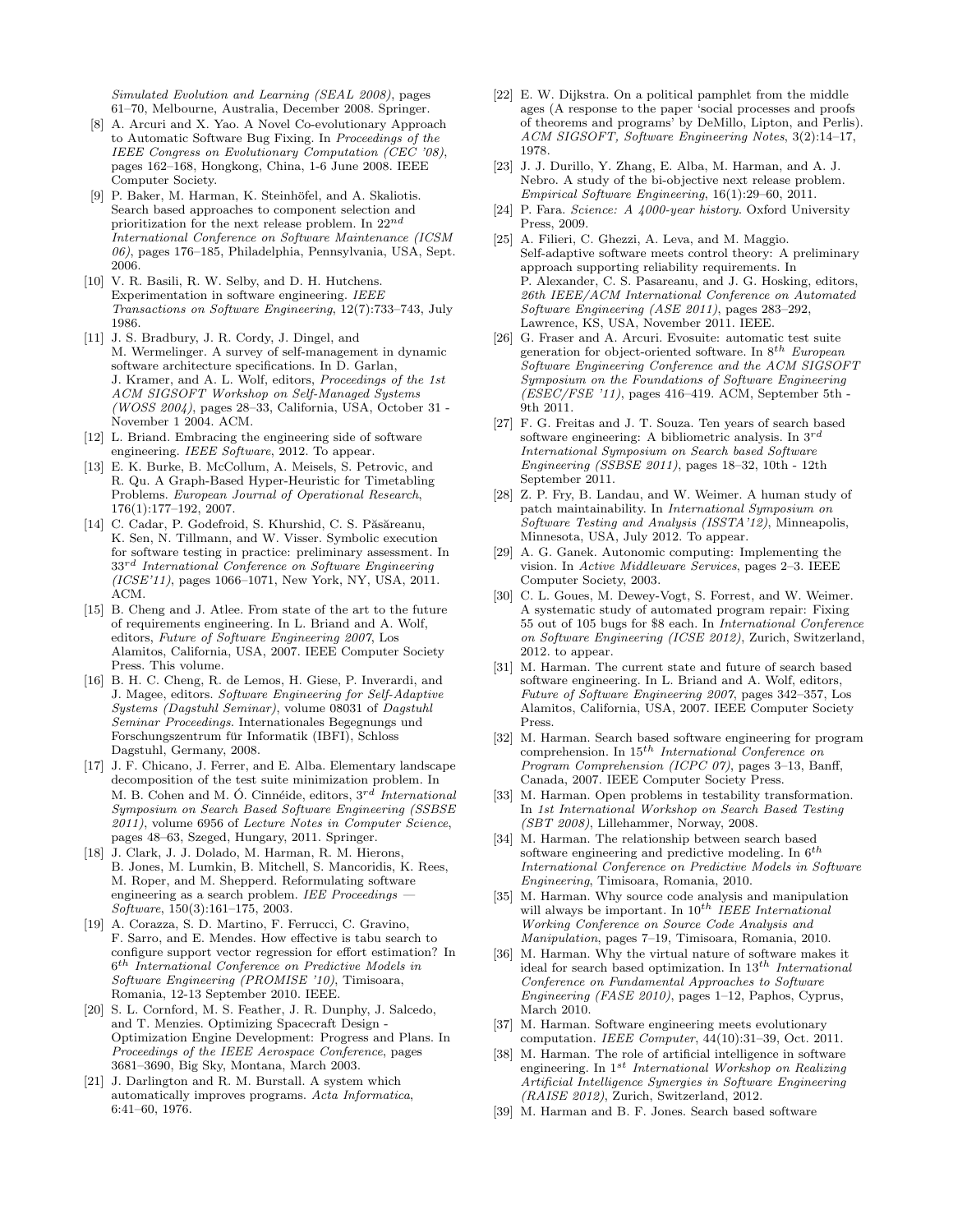Simulated Evolution and Learning (SEAL 2008), pages 61–70, Melbourne, Australia, December 2008. Springer.

- [8] A. Arcuri and X. Yao. A Novel Co-evolutionary Approach to Automatic Software Bug Fixing. In Proceedings of the IEEE Congress on Evolutionary Computation (CEC '08), pages 162–168, Hongkong, China, 1-6 June 2008. IEEE Computer Society.
- [9] P. Baker, M. Harman, K. Steinhöfel, and A. Skaliotis. Search based approaches to component selection and prioritization for the next release problem. In  $22^{nd}$ International Conference on Software Maintenance (ICSM 06), pages 176–185, Philadelphia, Pennsylvania, USA, Sept. 2006.
- [10] V. R. Basili, R. W. Selby, and D. H. Hutchens. Experimentation in software engineering. IEEE Transactions on Software Engineering, 12(7):733–743, July 1986.
- [11] J. S. Bradbury, J. R. Cordy, J. Dingel, and M. Wermelinger. A survey of self-management in dynamic software architecture specifications. In D. Garlan, J. Kramer, and A. L. Wolf, editors, Proceedings of the 1st ACM SIGSOFT Workshop on Self-Managed Systems (WOSS 2004), pages 28–33, California, USA, October 31 - November 1 2004. ACM.
- [12] L. Briand. Embracing the engineering side of software engineering. IEEE Software, 2012. To appear.
- [13] E. K. Burke, B. McCollum, A. Meisels, S. Petrovic, and R. Qu. A Graph-Based Hyper-Heuristic for Timetabling Problems. European Journal of Operational Research, 176(1):177–192, 2007.
- [14] C. Cadar, P. Godefroid, S. Khurshid, C. S. Păsăreanu, K. Sen, N. Tillmann, and W. Visser. Symbolic execution for software testing in practice: preliminary assessment. In 33<sup>rd</sup> International Conference on Software Engineering (ICSE'11), pages 1066–1071, New York, NY, USA, 2011. ACM.
- [15] B. Cheng and J. Atlee. From state of the art to the future of requirements engineering. In L. Briand and A. Wolf, editors, Future of Software Engineering 2007, Los Alamitos, California, USA, 2007. IEEE Computer Society Press. This volume.
- [16] B. H. C. Cheng, R. de Lemos, H. Giese, P. Inverardi, and J. Magee, editors. Software Engineering for Self-Adaptive Systems (Dagstuhl Seminar), volume 08031 of Dagstuhl Seminar Proceedings. Internationales Begegnungs und Forschungszentrum für Informatik (IBFI), Schloss Dagstuhl, Germany, 2008.
- [17] J. F. Chicano, J. Ferrer, and E. Alba. Elementary landscape decomposition of the test suite minimization problem. In M. B. Cohen and M. Ó. Cinnéide, editors,  $3^{rd}$  International Symposium on Search Based Software Engineering (SSBSE 2011), volume 6956 of Lecture Notes in Computer Science, pages 48–63, Szeged, Hungary, 2011. Springer.
- [18] J. Clark, J. J. Dolado, M. Harman, R. M. Hierons, B. Jones, M. Lumkin, B. Mitchell, S. Mancoridis, K. Rees, M. Roper, and M. Shepperd. Reformulating software engineering as a search problem. IEE Proceedings Software, 150(3):161–175, 2003.
- [19] A. Corazza, S. D. Martino, F. Ferrucci, C. Gravino, F. Sarro, and E. Mendes. How effective is tabu search to configure support vector regression for effort estimation? In  $6<sup>th</sup>$  International Conference on Predictive Models in Software Engineering (PROMISE '10), Timisoara, Romania, 12-13 September 2010. IEEE.
- [20] S. L. Cornford, M. S. Feather, J. R. Dunphy, J. Salcedo, and T. Menzies. Optimizing Spacecraft Design - Optimization Engine Development: Progress and Plans. In Proceedings of the IEEE Aerospace Conference, pages 3681–3690, Big Sky, Montana, March 2003.
- [21] J. Darlington and R. M. Burstall. A system which automatically improves programs. Acta Informatica, 6:41–60, 1976.
- [22] E. W. Dijkstra. On a political pamphlet from the middle ages (A response to the paper 'social processes and proofs of theorems and programs' by DeMillo, Lipton, and Perlis). ACM SIGSOFT, Software Engineering Notes, 3(2):14–17, 1978.
- [23] J. J. Durillo, Y. Zhang, E. Alba, M. Harman, and A. J. Nebro. A study of the bi-objective next release problem. Empirical Software Engineering, 16(1):29–60, 2011.
- [24] P. Fara. Science: A 4000-year history. Oxford University Press, 2009.
- [25] A. Filieri, C. Ghezzi, A. Leva, and M. Maggio. Self-adaptive software meets control theory: A preliminary approach supporting reliability requirements. In P. Alexander, C. S. Pasareanu, and J. G. Hosking, editors, 26th IEEE/ACM International Conference on Automated Software Engineering (ASE 2011), pages 283–292, Lawrence, KS, USA, November 2011. IEEE.
- [26] G. Fraser and A. Arcuri. Evosuite: automatic test suite generation for object-oriented software. In  $8^{th}$  European Software Engineering Conference and the ACM SIGSOFT Symposium on the Foundations of Software Engineering  $(ESEC/FSE$  '11), pages 416-419. ACM, September 5th -9th 2011.
- [27] F. G. Freitas and J. T. Souza. Ten years of search based software engineering: A bibliometric analysis. In  $3^{rd}$ International Symposium on Search based Software Engineering (SSBSE 2011), pages  $18-32$ ,  $10th - 12th$ September 2011.
- [28] Z. P. Fry, B. Landau, and W. Weimer. A human study of patch maintainability. In International Symposium on Software Testing and Analysis (ISSTA'12), Minneapolis, Minnesota, USA, July 2012. To appear.
- [29] A. G. Ganek. Autonomic computing: Implementing the vision. In Active Middleware Services, pages 2–3. IEEE Computer Society, 2003.
- [30] C. L. Goues, M. Dewey-Vogt, S. Forrest, and W. Weimer. A systematic study of automated program repair: Fixing 55 out of 105 bugs for \$8 each. In International Conference on Software Engineering (ICSE 2012), Zurich, Switzerland, 2012. to appear.
- [31] M. Harman. The current state and future of search based software engineering. In L. Briand and A. Wolf, editors, Future of Software Engineering 2007, pages 342–357, Los Alamitos, California, USA, 2007. IEEE Computer Society Press.
- [32] M. Harman. Search based software engineering for program comprehension. In  $15^{th}$  International Conference on Program Comprehension (ICPC 07), pages 3–13, Banff, Canada, 2007. IEEE Computer Society Press.
- [33] M. Harman. Open problems in testability transformation. In 1st International Workshop on Search Based Testing (SBT 2008), Lillehammer, Norway, 2008.
- [34] M. Harman. The relationship between search based software engineering and predictive modeling. In  $6^{th}$ International Conference on Predictive Models in Software Engineering, Timisoara, Romania, 2010.
- [35] M. Harman. Why source code analysis and manipulation will always be important. In  $10^{th}$  IEEE International Working Conference on Source Code Analysis and Manipulation, pages 7–19, Timisoara, Romania, 2010.
- [36] M. Harman. Why the virtual nature of software makes it ideal for search based optimization. In  $13^{th}\ International$ Conference on Fundamental Approaches to Software Engineering (FASE 2010), pages 1–12, Paphos, Cyprus, March 2010.
- [37] M. Harman. Software engineering meets evolutionary computation. IEEE Computer, 44(10):31–39, Oct. 2011.
- [38] M. Harman. The role of artificial intelligence in software engineering. In  $1^{st}$  International Workshop on Realizing Artificial Intelligence Synergies in Software Engineering (RAISE 2012), Zurich, Switzerland, 2012.
- [39] M. Harman and B. F. Jones. Search based software